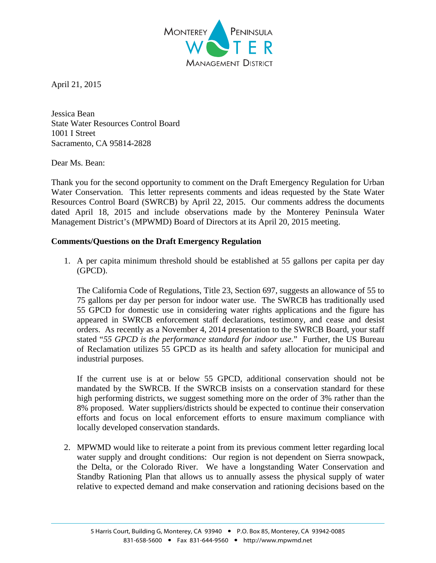

April 21, 2015

Jessica Bean State Water Resources Control Board 1001 I Street Sacramento, CA 95814-2828

## Dear Ms. Bean:

Thank you for the second opportunity to comment on the Draft Emergency Regulation for Urban Water Conservation. This letter represents comments and ideas requested by the State Water Resources Control Board (SWRCB) by April 22, 2015. Our comments address the documents dated April 18, 2015 and include observations made by the Monterey Peninsula Water Management District's (MPWMD) Board of Directors at its April 20, 2015 meeting.

## **Comments/Questions on the Draft Emergency Regulation**

1. A per capita minimum threshold should be established at 55 gallons per capita per day (GPCD).

The California Code of Regulations, Title 23, Section 697, suggests an allowance of 55 to 75 gallons per day per person for indoor water use. The SWRCB has traditionally used 55 GPCD for domestic use in considering water rights applications and the figure has appeared in SWRCB enforcement staff declarations, testimony, and cease and desist orders. As recently as a November 4, 2014 presentation to the SWRCB Board, your staff stated "*55 GPCD is the performance standard for indoor use.*" Further, the US Bureau of Reclamation utilizes 55 GPCD as its health and safety allocation for municipal and industrial purposes.

If the current use is at or below 55 GPCD, additional conservation should not be mandated by the SWRCB. If the SWRCB insists on a conservation standard for these high performing districts, we suggest something more on the order of 3% rather than the 8% proposed. Water suppliers/districts should be expected to continue their conservation efforts and focus on local enforcement efforts to ensure maximum compliance with locally developed conservation standards.

2. MPWMD would like to reiterate a point from its previous comment letter regarding local water supply and drought conditions: Our region is not dependent on Sierra snowpack, the Delta, or the Colorado River. We have a longstanding Water Conservation and Standby Rationing Plan that allows us to annually assess the physical supply of water relative to expected demand and make conservation and rationing decisions based on the